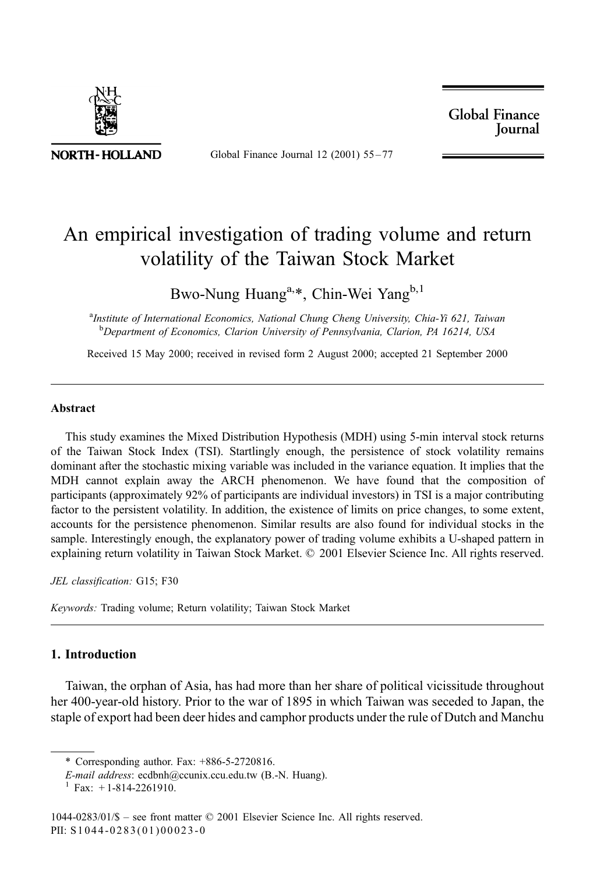

Global Finance Journal 12 (2001) 55-77

**Global Finance Journal** 

## An empirical investigation of trading volume and return volatility of the Taiwan Stock Market

Bwo-Nung Huang<sup>a,\*</sup>, Chin-Wei Yang<sup>b,1</sup>

<sup>a</sup>Institute of International Economics, National Chung Cheng University, Chia-Yi 621, Taiwan <sup>b</sup>Department of Economics, Clarion University of Pennsylvania, Clarion, PA 16214, USA

Received 15 May 2000; received in revised form 2 August 2000; accepted 21 September 2000

## **Abstract**

This study examines the Mixed Distribution Hypothesis (MDH) using 5-min interval stock returns of the Taiwan Stock Index (TSI). Startlingly enough, the persistence of stock volatility remains dominant after the stochastic mixing variable was included in the variance equation. It implies that the MDH cannot explain away the ARCH phenomenon. We have found that the composition of participants (approximately 92% of participants are individual investors) in TSI is a major contributing factor to the persistent volatility. In addition, the existence of limits on price changes, to some extent, accounts for the persistence phenomenon. Similar results are also found for individual stocks in the sample. Interestingly enough, the explanatory power of trading volume exhibits a U-shaped pattern in explaining return volatility in Taiwan Stock Market. © 2001 Elsevier Science Inc. All rights reserved.

JEL classification: G15; F30

Keywords: Trading volume; Return volatility; Taiwan Stock Market

## 1. Introduction

Taiwan, the orphan of Asia, has had more than her share of political vicissitude throughout her 400-year-old history. Prior to the war of 1895 in which Taiwan was seceded to Japan, the staple of export had been deer hides and camphor products under the rule of Dutch and Manchu

<sup>\*</sup> Corresponding author. Fax:  $+886-5-2720816$ .

E-mail address: ecdbnh@ccunix.ccu.edu.tw (B.-N. Huang).

Fax:  $+1-814-2261910$ .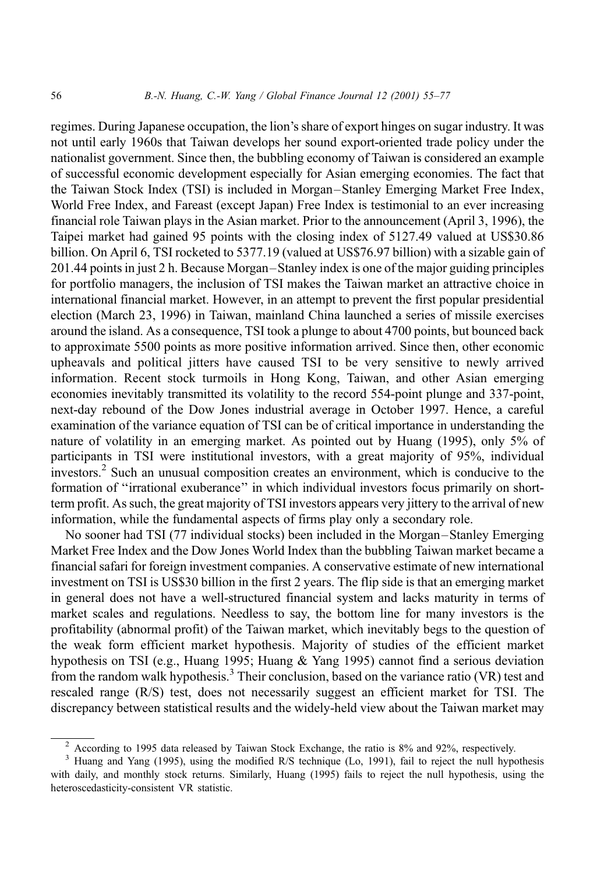regimes. During Japanese occupation, the lion's share of export hinges on sugar industry. It was not until early 1960s that Taiwan develops her sound export-oriented trade policy under the nationalist government. Since then, the bubbling economy of Taiwan is considered an example of successful economic development especially for Asian emerging economies. The fact that the Taiwan Stock Index (TSI) is included in Morgan–Stanley Emerging Market Free Index, World Free Index, and Fareast (except Japan) Free Index is testimonial to an ever increasing financial role Taiwan plays in the Asian market. Prior to the announcement (April 3, 1996), the Taipei market had gained 95 points with the closing index of 5127.49 valued at US\$30.86 billion. On April 6, TSI rocketed to 5377.19 (valued at US\$76.97 billion) with a sizable gain of 201.44 points in just 2 h. Because Morgan–Stanley index is one of the major guiding principles for portfolio managers, the inclusion of TSI makes the Taiwan market an attractive choice in international financial market. However, in an attempt to prevent the first popular presidential election (March 23, 1996) in Taiwan, mainland China launched a series of missile exercises around the island. As a consequence, TSI took a plunge to about 4700 points, but bounced back to approximate 5500 points as more positive information arrived. Since then, other economic upheavals and political jitters have caused TSI to be very sensitive to newly arrived information. Recent stock turmoils in Hong Kong, Taiwan, and other Asian emerging economies inevitably transmitted its volatility to the record 554-point plunge and 337-point, next-day rebound of the Dow Jones industrial average in October 1997. Hence, a careful examination of the variance equation of TSI can be of critical importance in understanding the nature of volatility in an emerging market. As pointed out by Huang (1995), only 5% of participants in TSI were institutional investors, with a great majority of 95%, individual investors.<sup>2</sup> Such an unusual composition creates an environment, which is conducive to the formation of "irrational exuberance" in which individual investors focus primarily on shortterm profit. As such, the great majority of TSI investors appears very jittery to the arrival of new information, while the fundamental aspects of firms play only a secondary role.

No sooner had TSI (77 individual stocks) been included in the Morgan-Stanley Emerging Market Free Index and the Dow Jones World Index than the bubbling Taiwan market became a financial safari for foreign investment companies. A conservative estimate of new international investment on TSI is US\$30 billion in the first 2 years. The flip side is that an emerging market in general does not have a well-structured financial system and lacks maturity in terms of market scales and regulations. Needless to say, the bottom line for many investors is the profitability (abnormal profit) of the Taiwan market, which inevitably begs to the question of the weak form efficient market hypothesis. Majority of studies of the efficient market hypothesis on TSI (e.g., Huang 1995; Huang & Yang 1995) cannot find a serious deviation from the random walk hypothesis.<sup>3</sup> Their conclusion, based on the variance ratio (VR) test and rescaled range (R/S) test, does not necessarily suggest an efficient market for TSI. The discrepancy between statistical results and the widely-held view about the Taiwan market may

 $2$  According to 1995 data released by Taiwan Stock Exchange, the ratio is 8% and 92%, respectively.

<sup>&</sup>lt;sup>3</sup> Huang and Yang (1995), using the modified R/S technique (Lo, 1991), fail to reject the null hypothesis with daily, and monthly stock returns. Similarly, Huang (1995) fails to reject the null hypothesis, using the heteroscedasticity-consistent VR statistic.